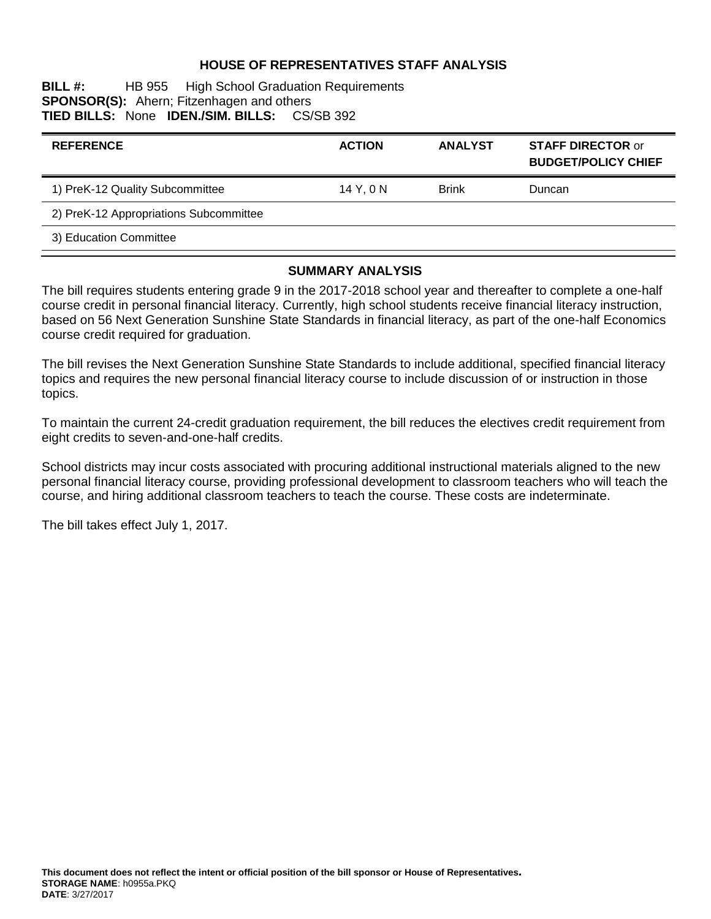### **HOUSE OF REPRESENTATIVES STAFF ANALYSIS**

**BILL #:** HB 955 High School Graduation Requirements **SPONSOR(S):** Ahern; Fitzenhagen and others **TIED BILLS:** None **IDEN./SIM. BILLS:** CS/SB 392

| <b>REFERENCE</b>                       | <b>ACTION</b> | <b>ANALYST</b> | <b>STAFF DIRECTOR or</b><br><b>BUDGET/POLICY CHIEF</b> |
|----------------------------------------|---------------|----------------|--------------------------------------------------------|
| 1) PreK-12 Quality Subcommittee        | 14 Y.ON       | <b>Brink</b>   | <b>Duncan</b>                                          |
| 2) PreK-12 Appropriations Subcommittee |               |                |                                                        |
| 3) Education Committee                 |               |                |                                                        |

#### **SUMMARY ANALYSIS**

The bill requires students entering grade 9 in the 2017-2018 school year and thereafter to complete a one-half course credit in personal financial literacy. Currently, high school students receive financial literacy instruction, based on 56 Next Generation Sunshine State Standards in financial literacy, as part of the one-half Economics course credit required for graduation.

The bill revises the Next Generation Sunshine State Standards to include additional, specified financial literacy topics and requires the new personal financial literacy course to include discussion of or instruction in those topics.

To maintain the current 24-credit graduation requirement, the bill reduces the electives credit requirement from eight credits to seven-and-one-half credits.

School districts may incur costs associated with procuring additional instructional materials aligned to the new personal financial literacy course, providing professional development to classroom teachers who will teach the course, and hiring additional classroom teachers to teach the course. These costs are indeterminate.

The bill takes effect July 1, 2017.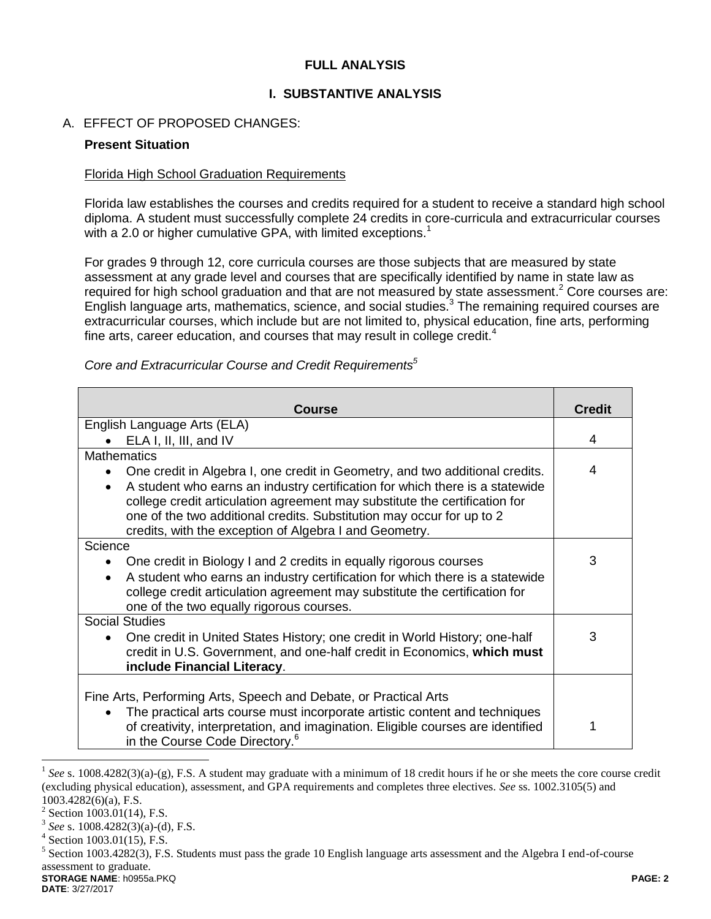### **FULL ANALYSIS**

### **I. SUBSTANTIVE ANALYSIS**

### A. EFFECT OF PROPOSED CHANGES:

### **Present Situation**

### Florida High School Graduation Requirements

Florida law establishes the courses and credits required for a student to receive a standard high school diploma. A student must successfully complete 24 credits in core-curricula and extracurricular courses with a 2.0 or higher cumulative GPA, with limited exceptions.<sup>1</sup>

For grades 9 through 12, core curricula courses are those subjects that are measured by state assessment at any grade level and courses that are specifically identified by name in state law as required for high school graduation and that are not measured by state assessment.<sup>2</sup> Core courses are: English language arts, mathematics, science, and social studies.<sup>3</sup> The remaining required courses are extracurricular courses, which include but are not limited to, physical education, fine arts, performing fine arts, career education, and courses that may result in college credit.<sup>4</sup>

| <b>Course</b>                                                                                                                                                                                                                                                                                              | <b>Credit</b> |  |  |
|------------------------------------------------------------------------------------------------------------------------------------------------------------------------------------------------------------------------------------------------------------------------------------------------------------|---------------|--|--|
| English Language Arts (ELA)                                                                                                                                                                                                                                                                                |               |  |  |
| ELA I, II, III, and IV                                                                                                                                                                                                                                                                                     |               |  |  |
| <b>Mathematics</b>                                                                                                                                                                                                                                                                                         |               |  |  |
| One credit in Algebra I, one credit in Geometry, and two additional credits.<br>$\bullet$                                                                                                                                                                                                                  | 4             |  |  |
| A student who earns an industry certification for which there is a statewide<br>$\bullet$<br>college credit articulation agreement may substitute the certification for<br>one of the two additional credits. Substitution may occur for up to 2<br>credits, with the exception of Algebra I and Geometry. |               |  |  |
| Science                                                                                                                                                                                                                                                                                                    |               |  |  |
| One credit in Biology I and 2 credits in equally rigorous courses                                                                                                                                                                                                                                          | 3             |  |  |
| A student who earns an industry certification for which there is a statewide<br>$\bullet$<br>college credit articulation agreement may substitute the certification for<br>one of the two equally rigorous courses.                                                                                        |               |  |  |
| <b>Social Studies</b>                                                                                                                                                                                                                                                                                      |               |  |  |
| One credit in United States History; one credit in World History; one-half<br>$\bullet$<br>credit in U.S. Government, and one-half credit in Economics, which must<br>include Financial Literacy.                                                                                                          | 3             |  |  |
|                                                                                                                                                                                                                                                                                                            |               |  |  |
| Fine Arts, Performing Arts, Speech and Debate, or Practical Arts                                                                                                                                                                                                                                           |               |  |  |
| The practical arts course must incorporate artistic content and techniques<br>$\bullet$<br>of creativity, interpretation, and imagination. Eligible courses are identified<br>in the Course Code Directory. <sup>6</sup>                                                                                   |               |  |  |

*Core and Extracurricular Course and Credit Requirements<sup>5</sup>*

 $\overline{a}$ 

<sup>&</sup>lt;sup>1</sup> See s. 1008.4282(3)(a)-(g), F.S. A student may graduate with a minimum of 18 credit hours if he or she meets the core course credit (excluding physical education), assessment, and GPA requirements and completes three electives. *See* ss. 1002.3105(5) and 1003.4282(6)(a), F.S.

 $2$  Section 1003.01(14), F.S.

<sup>3</sup> *See* s. 1008.4282(3)(a)-(d), F.S.

<sup>4</sup> Section 1003.01(15), F.S.

**STORAGE NAME**: h0955a.PKQ **PAGE: 2**  $<sup>5</sup>$  Section 1003.4282(3), F.S. Students must pass the grade 10 English language arts assessment and the Algebra I end-of-course</sup> assessment to graduate.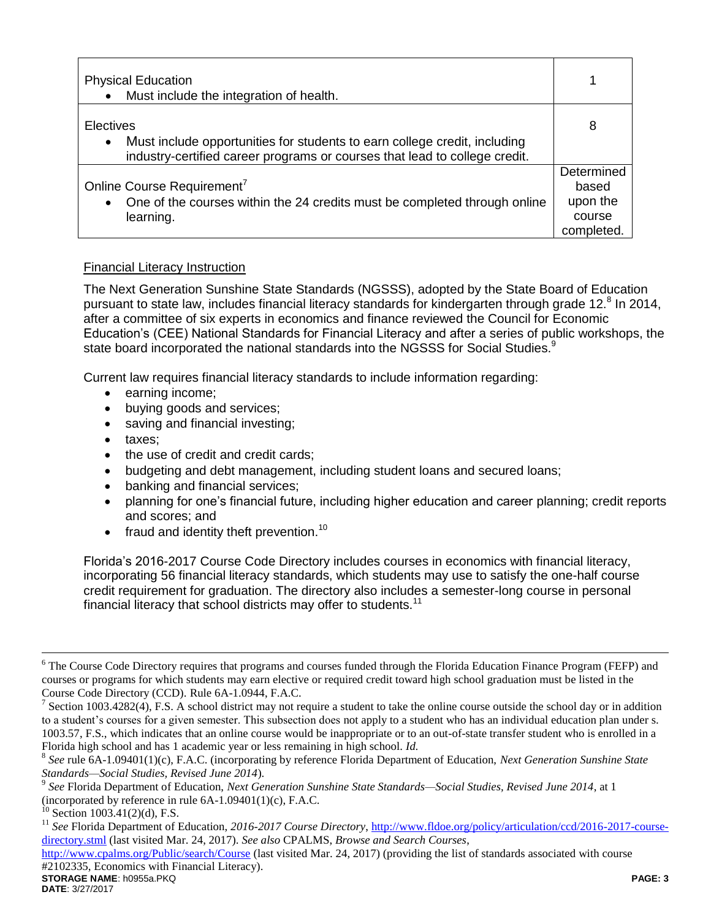| <b>Physical Education</b><br>Must include the integration of health.                                                                                                              |                                                         |
|-----------------------------------------------------------------------------------------------------------------------------------------------------------------------------------|---------------------------------------------------------|
| Electives<br>Must include opportunities for students to earn college credit, including<br>$\bullet$<br>industry-certified career programs or courses that lead to college credit. | 8                                                       |
| Online Course Requirement <sup>7</sup><br>One of the courses within the 24 credits must be completed through online<br>$\bullet$<br>learning.                                     | Determined<br>based<br>upon the<br>course<br>completed. |

## Financial Literacy Instruction

The Next Generation Sunshine State Standards (NGSSS), adopted by the State Board of Education pursuant to state law, includes financial literacy standards for kindergarten through grade 12.<sup>8</sup> In 2014, after a committee of six experts in economics and finance reviewed the Council for Economic Education's (CEE) National Standards for Financial Literacy and after a series of public workshops, the state board incorporated the national standards into the NGSSS for Social Studies.<sup>9</sup>

Current law requires financial literacy standards to include information regarding:

- earning income;
- buying goods and services;
- saving and financial investing;
- taxes:
- the use of credit and credit cards;
- budgeting and debt management, including student loans and secured loans;
- banking and financial services;
- planning for one's financial future, including higher education and career planning; credit reports and scores; and
- $\bullet$  fraud and identity theft prevention.<sup>10</sup>

Florida's 2016-2017 Course Code Directory includes courses in economics with financial literacy, incorporating 56 financial literacy standards, which students may use to satisfy the one-half course credit requirement for graduation. The directory also includes a semester-long course in personal financial literacy that school districts may offer to students.<sup>11</sup>

**STORAGE NAME**: h0955a.PKQ **PAGE: 3** <http://www.cpalms.org/Public/search/Course> (last visited Mar. 24, 2017) (providing the list of standards associated with course #2102335, Economics with Financial Literacy).

 $\overline{a}$ 

<sup>&</sup>lt;sup>6</sup> The Course Code Directory requires that programs and courses funded through the Florida Education Finance Program (FEFP) and courses or programs for which students may earn elective or required credit toward high school graduation must be listed in the Course Code Directory (CCD). Rule 6A-1.0944, F.A.C.

<sup>7</sup> Section 1003.4282(4), F.S. A school district may not require a student to take the online course outside the school day or in addition to a student's courses for a given semester. This subsection does not apply to a student who has an individual education plan under s. 1003.57, F.S., which indicates that an online course would be inappropriate or to an out-of-state transfer student who is enrolled in a Florida high school and has 1 academic year or less remaining in high school. *Id.*

<sup>8</sup> *See* rule 6A-1.09401(1)(c), F.A.C. (incorporating by reference Florida Department of Education, *Next Generation Sunshine State Standards—Social Studies, Revised June 2014*).

<sup>9</sup> *See* Florida Department of Education, *Next Generation Sunshine State Standards—Social Studies, Revised June 2014*, at 1 (incorporated by reference in rule  $6A-1.09401(1)(c)$ , F.A.C.

 $^{10}$  Section 1003.41(2)(d), F.S.

<sup>&</sup>lt;sup>11</sup> See Florida Department of Education, 2016-2017 Course Directory, [http://www.fldoe.org/policy/articulation/ccd/2016-2017-course](http://www.fldoe.org/policy/articulation/ccd/2016-2017-course-directory.stml)[directory.stml](http://www.fldoe.org/policy/articulation/ccd/2016-2017-course-directory.stml) (last visited Mar. 24, 2017). *See also* CPALMS, *Browse and Search Courses*,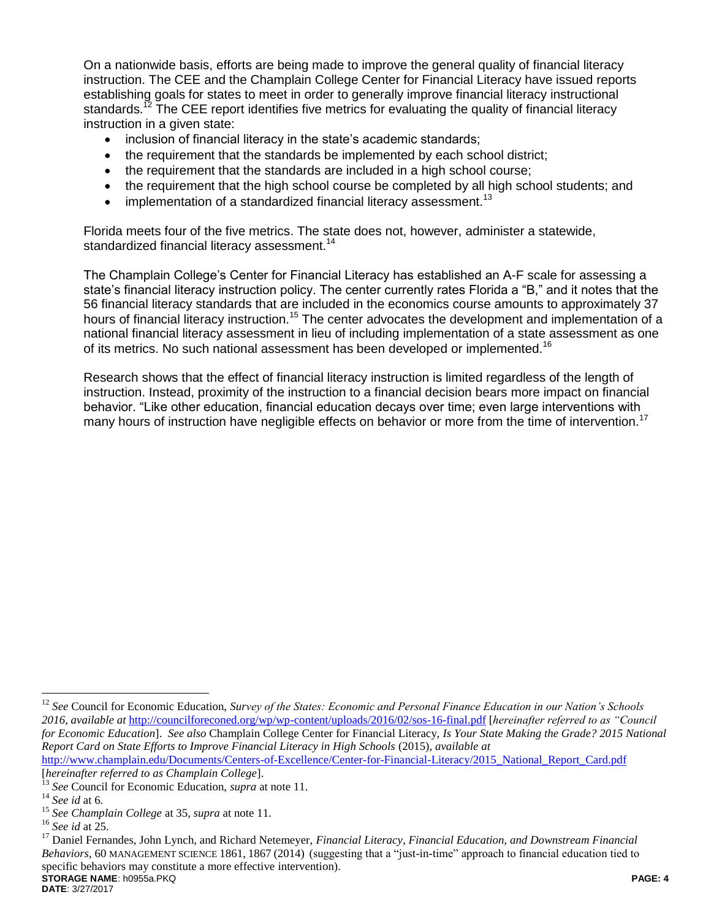On a nationwide basis, efforts are being made to improve the general quality of financial literacy instruction. The CEE and the Champlain College Center for Financial Literacy have issued reports establishing goals for states to meet in order to generally improve financial literacy instructional standards.<sup>12</sup> The CEE report identifies five metrics for evaluating the quality of financial literacy instruction in a given state:

- inclusion of financial literacy in the state's academic standards;
- the requirement that the standards be implemented by each school district;
- the requirement that the standards are included in a high school course;
- the requirement that the high school course be completed by all high school students; and
- $\bullet$  implementation of a standardized financial literacy assessment.<sup>13</sup>

Florida meets four of the five metrics. The state does not, however, administer a statewide, standardized financial literacy assessment.<sup>14</sup>

The Champlain College's Center for Financial Literacy has established an A-F scale for assessing a state's financial literacy instruction policy. The center currently rates Florida a "B," and it notes that the 56 financial literacy standards that are included in the economics course amounts to approximately 37 hours of financial literacy instruction.<sup>15</sup> The center advocates the development and implementation of a national financial literacy assessment in lieu of including implementation of a state assessment as one of its metrics. No such national assessment has been developed or implemented.<sup>16</sup>

Research shows that the effect of financial literacy instruction is limited regardless of the length of instruction. Instead, proximity of the instruction to a financial decision bears more impact on financial behavior. "Like other education, financial education decays over time; even large interventions with many hours of instruction have negligible effects on behavior or more from the time of intervention.<sup>17</sup>

 $\overline{a}$ 

<sup>&</sup>lt;sup>12</sup> See Council for Economic Education, *Survey of the States: Economic and Personal Finance Education in our Nation's Schools 2016*, *available at* <http://councilforeconed.org/wp/wp-content/uploads/2016/02/sos-16-final.pdf> [*hereinafter referred to as "Council for Economic Education*]. *See also* Champlain College Center for Financial Literacy, *Is Your State Making the Grade? 2015 National Report Card on State Efforts to Improve Financial Literacy in High Schools* (2015), *available at*  [http://www.champlain.edu/Documents/Centers-of-Excellence/Center-for-Financial-Literacy/2015\\_National\\_Report\\_Card.pdf](http://www.champlain.edu/Documents/Centers-of-Excellence/Center-for-Financial-Literacy/2015_National_Report_Card.pdf)

<sup>[</sup>*hereinafter referred to as Champlain College*].

<sup>13</sup> *See* Council for Economic Education, *supra* at note 11.

<sup>14</sup> *See id* at 6.

<sup>15</sup> *See Champlain College* at 35, *supra* at note 11.

<sup>16</sup> *See id* at 25.

**STORAGE NAME**: h0955a.PKQ **PAGE: 4** <sup>17</sup> Daniel Fernandes, John Lynch, and Richard Netemeyer, *Financial Literacy, Financial Education, and Downstream Financial Behaviors*, 60 MANAGEMENT SCIENCE 1861, 1867 (2014) (suggesting that a "just-in-time" approach to financial education tied to specific behaviors may constitute a more effective intervention).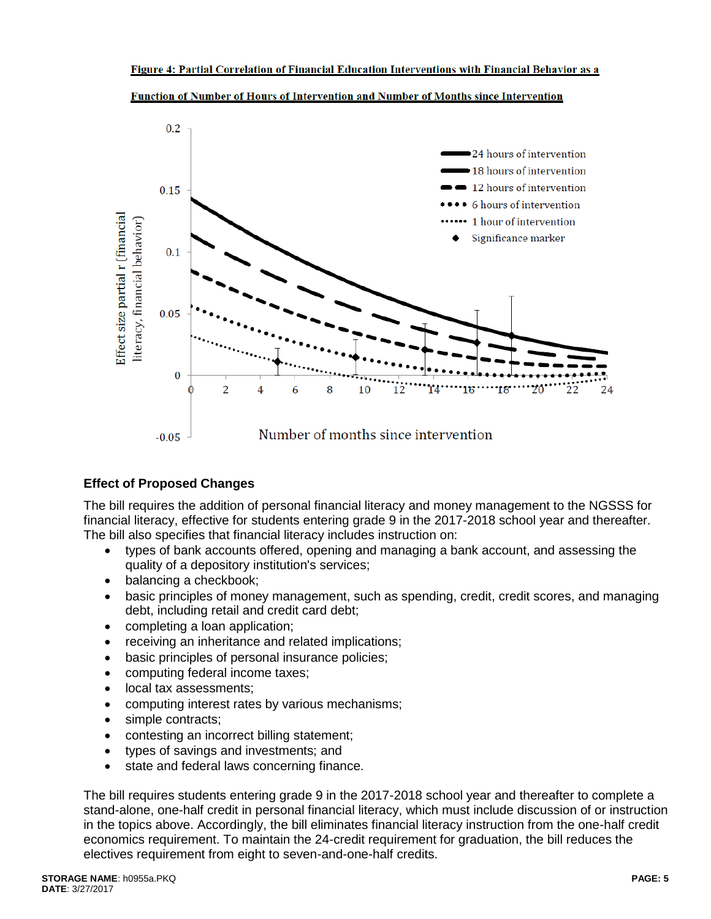

Function of Number of Hours of Intervention and Number of Months since Intervention

# **Effect of Proposed Changes**

The bill requires the addition of personal financial literacy and money management to the NGSSS for financial literacy, effective for students entering grade 9 in the 2017-2018 school year and thereafter. The bill also specifies that financial literacy includes instruction on:

- types of bank accounts offered, opening and managing a bank account, and assessing the quality of a depository institution's services;
- balancing a checkbook;
- basic principles of money management, such as spending, credit, credit scores, and managing debt, including retail and credit card debt;
- completing a loan application;
- receiving an inheritance and related implications;
- basic principles of personal insurance policies;
- computing federal income taxes;
- local tax assessments:
- computing interest rates by various mechanisms;
- simple contracts;
- contesting an incorrect billing statement;
- types of savings and investments; and
- state and federal laws concerning finance.

The bill requires students entering grade 9 in the 2017-2018 school year and thereafter to complete a stand-alone, one-half credit in personal financial literacy, which must include discussion of or instruction in the topics above. Accordingly, the bill eliminates financial literacy instruction from the one-half credit economics requirement. To maintain the 24-credit requirement for graduation, the bill reduces the electives requirement from eight to seven-and-one-half credits.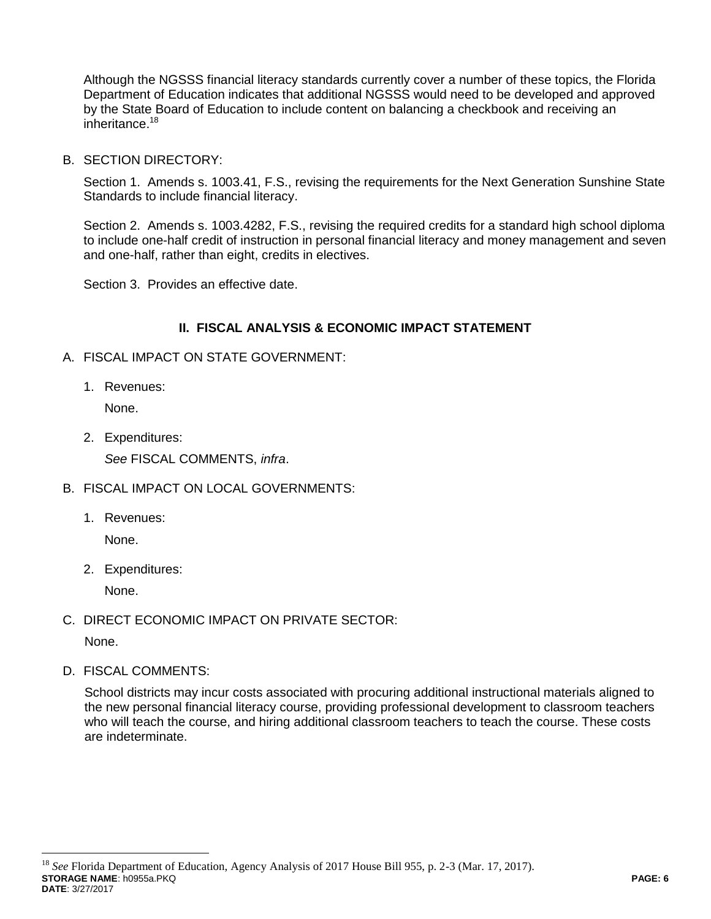Although the NGSSS financial literacy standards currently cover a number of these topics, the Florida Department of Education indicates that additional NGSSS would need to be developed and approved by the State Board of Education to include content on balancing a checkbook and receiving an inheritance.<sup>18</sup>

B. SECTION DIRECTORY:

Section 1. Amends s. 1003.41, F.S., revising the requirements for the Next Generation Sunshine State Standards to include financial literacy.

Section 2. Amends s. 1003.4282, F.S., revising the required credits for a standard high school diploma to include one-half credit of instruction in personal financial literacy and money management and seven and one-half, rather than eight, credits in electives.

Section 3. Provides an effective date.

### **II. FISCAL ANALYSIS & ECONOMIC IMPACT STATEMENT**

- A. FISCAL IMPACT ON STATE GOVERNMENT:
	- 1. Revenues:

None.

2. Expenditures:

*See* FISCAL COMMENTS, *infra*.

- B. FISCAL IMPACT ON LOCAL GOVERNMENTS:
	- 1. Revenues:

None.

2. Expenditures:

None.

C. DIRECT ECONOMIC IMPACT ON PRIVATE SECTOR:

None.

 $\overline{a}$ 

D. FISCAL COMMENTS:

School districts may incur costs associated with procuring additional instructional materials aligned to the new personal financial literacy course, providing professional development to classroom teachers who will teach the course, and hiring additional classroom teachers to teach the course. These costs are indeterminate.

**STORAGE NAME**: h0955a.PKQ **PAGE: 6 DATE**: 3/27/2017 <sup>18</sup> *See* Florida Department of Education, Agency Analysis of 2017 House Bill 955, p. 2-3 (Mar. 17, 2017).